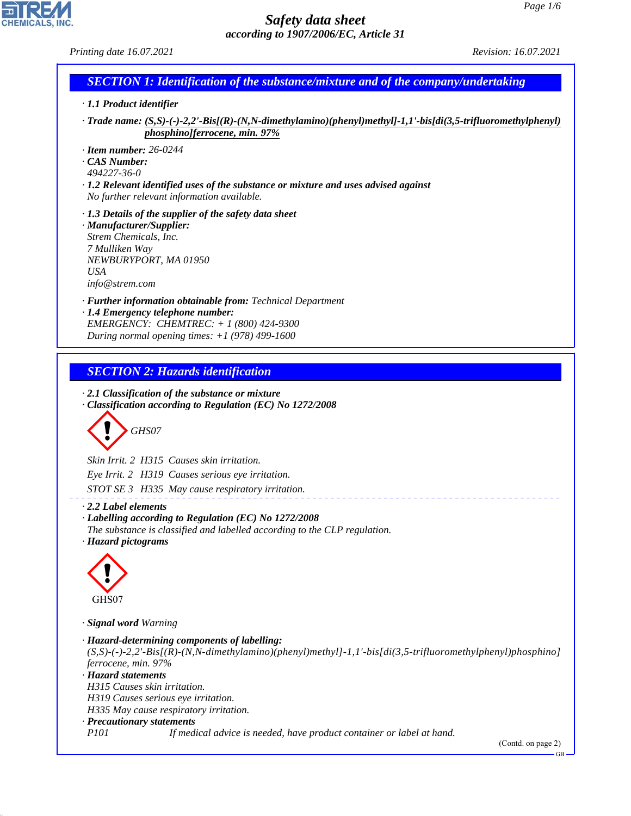# 고 CHEMICALS, INC

44.1.1

*· Hazard statements*

*H315 Causes skin irritation. H319 Causes serious eye irritation. H335 May cause respiratory irritation.*

*· Precautionary statements*

| Safety data sheet                                                                                                                                                                               | Page $1/6$                  |
|-------------------------------------------------------------------------------------------------------------------------------------------------------------------------------------------------|-----------------------------|
| according to 1907/2006/EC, Article 31                                                                                                                                                           | <i>Revision: 16.07.2021</i> |
| Printing date 16.07.2021                                                                                                                                                                        |                             |
| <b>SECTION 1: Identification of the substance/mixture and of the company/undertaking</b>                                                                                                        |                             |
| $\cdot$ 1.1 Product identifier                                                                                                                                                                  |                             |
| $\cdot$ Trade name: $(S, S)$ -(-)-2,2'-Bis[(R)-(N,N-dimethylamino)(phenyl)methyl]-1,1'-bis[di(3,5-trifluoromethylphenyl)<br>phosphino]ferrocene, min. 97%                                       |                             |
| $\cdot$ Item number: 26-0244<br>CAS Number:<br>494227-36-0<br>· 1.2 Relevant identified uses of the substance or mixture and uses advised against<br>No further relevant information available. |                             |
| $\cdot$ 1.3 Details of the supplier of the safety data sheet<br>· Manufacturer/Supplier:<br>Strem Chemicals, Inc.<br>7 Mulliken Way<br>NEWBURYPORT, MA 01950<br><b>USA</b><br>info@strem.com    |                             |
| · Further information obtainable from: Technical Department<br>· 1.4 Emergency telephone number:<br>EMERGENCY: CHEMTREC: + 1 (800) 424-9300<br>During normal opening times: $+1$ (978) 499-1600 |                             |
| <b>SECTION 2: Hazards identification</b>                                                                                                                                                        |                             |
| $\cdot$ 2.1 Classification of the substance or mixture<br>Classification according to Regulation (EC) No 1272/2008<br>GHS07                                                                     |                             |
| Skin Irrit. 2 H315 Causes skin irritation.                                                                                                                                                      |                             |
| Eye Irrit. 2 H319 Causes serious eye irritation.                                                                                                                                                |                             |
| STOT SE 3 H335 May cause respiratory irritation.                                                                                                                                                |                             |
| $\cdot$ 2.2 Label elements<br>· Labelling according to Regulation (EC) No 1272/2008<br>The substance is classified and labelled according to the CLP regulation.<br>· Hazard pictograms         |                             |
|                                                                                                                                                                                                 |                             |
| GHS07                                                                                                                                                                                           |                             |
| · Signal word Warning                                                                                                                                                                           |                             |
| · Hazard-determining components of labelling:<br>$(S,S)-(-)-2,2'-Bis[(R)-(N,N-dimethylamino)(phenyl) methyl-1,1'-bis[di(3,5-trifluoromethylphenyl)phosphino]$<br>ferrocene, min. 97%            |                             |

*P101 If medical advice is needed, have product container or label at hand.*

(Contd. on page 2)

GB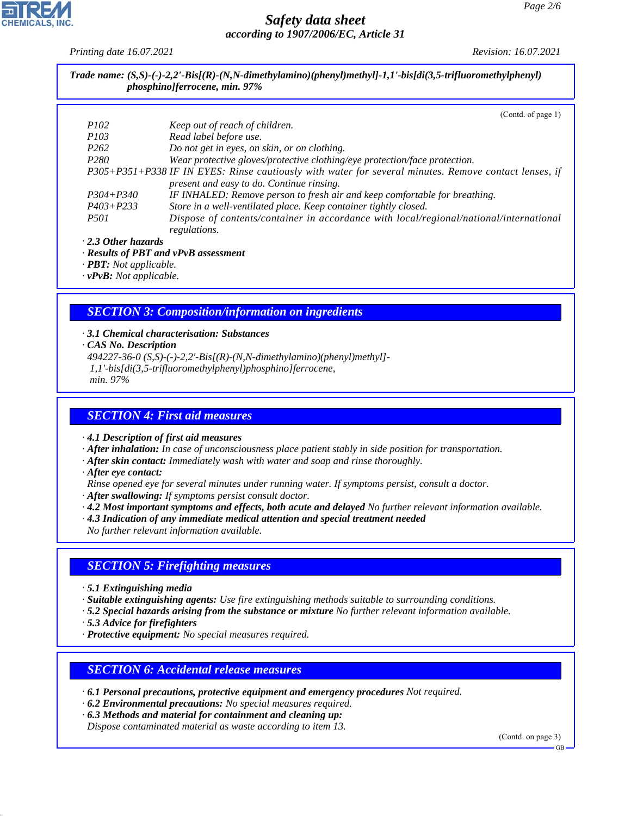*Printing date 16.07.2021 Revision: 16.07.2021*

*Trade name: (S,S)-(-)-2,2'-Bis[(R)-(N,N-dimethylamino)(phenyl)methyl]-1,1'-bis[di(3,5-trifluoromethylphenyl) phosphino]ferrocene, min. 97%*

|                           | (Contd. of page 1)                                                                                    |
|---------------------------|-------------------------------------------------------------------------------------------------------|
| <i>P102</i>               | Keep out of reach of children.                                                                        |
| <i>P103</i>               | Read label before use.                                                                                |
| P <sub>262</sub>          | Do not get in eyes, on skin, or on clothing.                                                          |
| P <sub>280</sub>          | Wear protective gloves/protective clothing/eye protection/face protection.                            |
|                           | P305+P351+P338 IF IN EYES: Rinse cautiously with water for several minutes. Remove contact lenses, if |
|                           | present and easy to do. Continue rinsing.                                                             |
| $P304 + P340$             | IF INHALED: Remove person to fresh air and keep comfortable for breathing.                            |
| $P403 + P233$             | Store in a well-ventilated place. Keep container tightly closed.                                      |
| <i>P501</i>               | Dispose of contents/container in accordance with local/regional/national/international                |
|                           | regulations.                                                                                          |
| $\cdot$ 2.3 Other hazards |                                                                                                       |

*· Results of PBT and vPvB assessment*

*· PBT: Not applicable.*

*· vPvB: Not applicable.*

# *SECTION 3: Composition/information on ingredients*

*· 3.1 Chemical characterisation: Substances*

- *· CAS No. Description*
- *494227-36-0 (S,S)-(-)-2,2'-Bis[(R)-(N,N-dimethylamino)(phenyl)methyl]- 1,1'-bis[di(3,5-trifluoromethylphenyl)phosphino]ferrocene,*

 *min. 97%*

## *SECTION 4: First aid measures*

*· 4.1 Description of first aid measures*

*· After inhalation: In case of unconsciousness place patient stably in side position for transportation.*

- *· After skin contact: Immediately wash with water and soap and rinse thoroughly.*
- *· After eye contact:*
- *Rinse opened eye for several minutes under running water. If symptoms persist, consult a doctor.*
- *· After swallowing: If symptoms persist consult doctor.*
- *· 4.2 Most important symptoms and effects, both acute and delayed No further relevant information available.*
- *· 4.3 Indication of any immediate medical attention and special treatment needed*

*No further relevant information available.*

## *SECTION 5: Firefighting measures*

*· 5.1 Extinguishing media*

*· Suitable extinguishing agents: Use fire extinguishing methods suitable to surrounding conditions.*

*· 5.2 Special hazards arising from the substance or mixture No further relevant information available.*

*· 5.3 Advice for firefighters*

44.1.1

*· Protective equipment: No special measures required.*

## *SECTION 6: Accidental release measures*

*· 6.1 Personal precautions, protective equipment and emergency procedures Not required.*

- *· 6.2 Environmental precautions: No special measures required.*
- *· 6.3 Methods and material for containment and cleaning up:*

*Dispose contaminated material as waste according to item 13.*

(Contd. on page 3)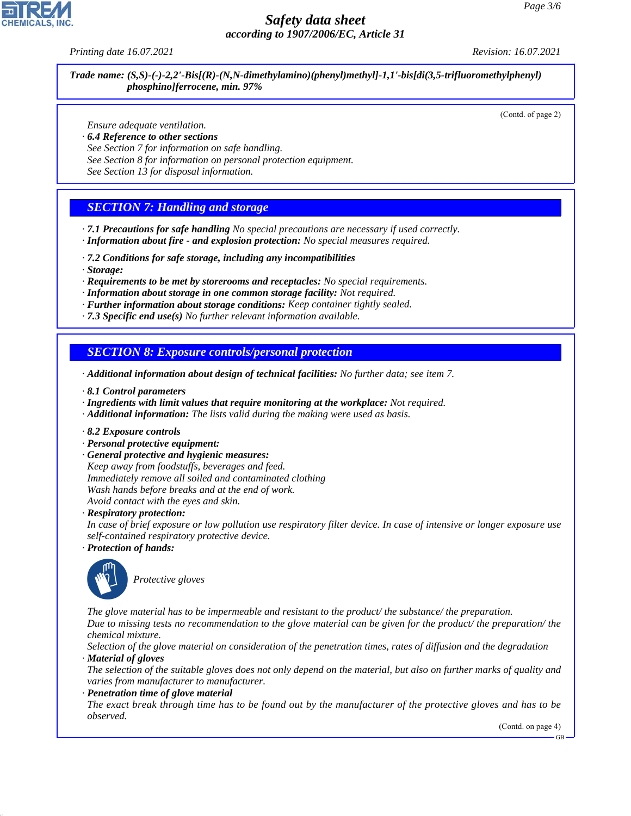*Printing date 16.07.2021 Revision: 16.07.2021*

*Trade name: (S,S)-(-)-2,2'-Bis[(R)-(N,N-dimethylamino)(phenyl)methyl]-1,1'-bis[di(3,5-trifluoromethylphenyl) phosphino]ferrocene, min. 97%*

(Contd. of page 2)

*Ensure adequate ventilation.*

- *· 6.4 Reference to other sections*
- *See Section 7 for information on safe handling.*
- *See Section 8 for information on personal protection equipment.*

*See Section 13 for disposal information.*

## *SECTION 7: Handling and storage*

- *· 7.1 Precautions for safe handling No special precautions are necessary if used correctly.*
- *· Information about fire and explosion protection: No special measures required.*
- *· 7.2 Conditions for safe storage, including any incompatibilities*
- *· Storage:*
- *· Requirements to be met by storerooms and receptacles: No special requirements.*
- *· Information about storage in one common storage facility: Not required.*
- *· Further information about storage conditions: Keep container tightly sealed.*
- *· 7.3 Specific end use(s) No further relevant information available.*

*SECTION 8: Exposure controls/personal protection*

- *· Additional information about design of technical facilities: No further data; see item 7.*
- *· 8.1 Control parameters*
- *· Ingredients with limit values that require monitoring at the workplace: Not required.*
- *· Additional information: The lists valid during the making were used as basis.*
- *· 8.2 Exposure controls*
- *· Personal protective equipment:*
- *· General protective and hygienic measures:*

*Keep away from foodstuffs, beverages and feed. Immediately remove all soiled and contaminated clothing Wash hands before breaks and at the end of work. Avoid contact with the eyes and skin.*

*· Respiratory protection:*

*In case of brief exposure or low pollution use respiratory filter device. In case of intensive or longer exposure use self-contained respiratory protective device.*

*· Protection of hands:*



44.1.1

\_S*Protective gloves*

*The glove material has to be impermeable and resistant to the product/ the substance/ the preparation. Due to missing tests no recommendation to the glove material can be given for the product/ the preparation/ the chemical mixture.*

*Selection of the glove material on consideration of the penetration times, rates of diffusion and the degradation · Material of gloves*

*The selection of the suitable gloves does not only depend on the material, but also on further marks of quality and varies from manufacturer to manufacturer.*

*· Penetration time of glove material*

*The exact break through time has to be found out by the manufacturer of the protective gloves and has to be observed.*

(Contd. on page 4)

GB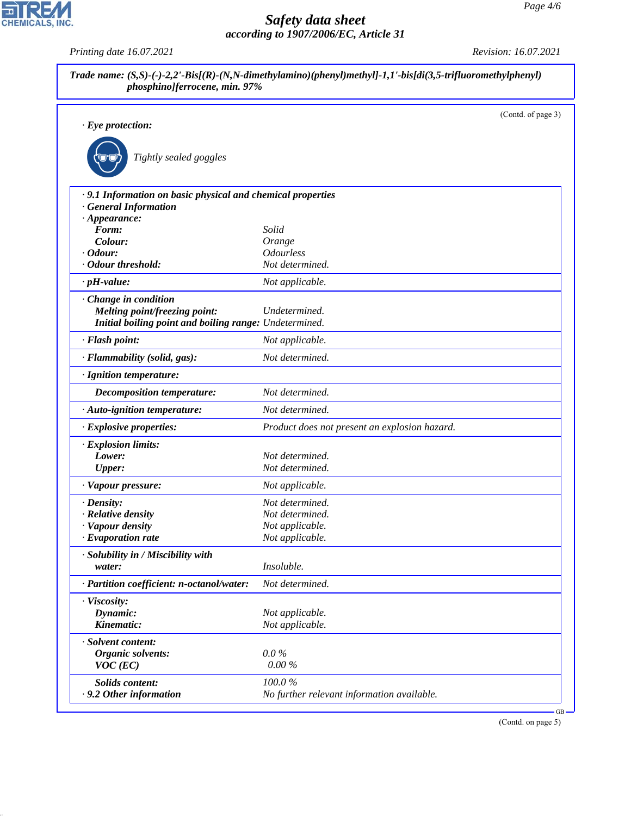| $\cdot$ Eye protection:                                     |                                               | (Contd. of page 3) |
|-------------------------------------------------------------|-----------------------------------------------|--------------------|
|                                                             |                                               |                    |
| Tightly sealed goggles                                      |                                               |                    |
| · 9.1 Information on basic physical and chemical properties |                                               |                    |
| <b>General Information</b>                                  |                                               |                    |
| $\cdot$ Appearance:                                         |                                               |                    |
| Form:                                                       | Solid                                         |                    |
| Colour:<br>$\cdot$ Odour:                                   | Orange<br><b>Odourless</b>                    |                    |
| · Odour threshold:                                          | Not determined.                               |                    |
| $\cdot$ pH-value:                                           | Not applicable.                               |                    |
|                                                             |                                               |                    |
| Change in condition<br>Melting point/freezing point:        | Undetermined.                                 |                    |
| Initial boiling point and boiling range: Undetermined.      |                                               |                    |
| · Flash point:                                              | Not applicable.                               |                    |
| · Flammability (solid, gas):                                | Not determined.                               |                    |
| · Ignition temperature:                                     |                                               |                    |
| <b>Decomposition temperature:</b>                           | Not determined.                               |                    |
| · Auto-ignition temperature:                                | Not determined.                               |                    |
| · Explosive properties:                                     | Product does not present an explosion hazard. |                    |
| · Explosion limits:                                         |                                               |                    |
| Lower:                                                      | Not determined.                               |                    |
| <b>Upper:</b>                                               | Not determined.                               |                    |
| · Vapour pressure:                                          | Not applicable.                               |                    |
| $\cdot$ Density:                                            | Not determined.                               |                    |
| · Relative density                                          | Not determined.                               |                    |
| · Vapour density                                            | Not applicable.                               |                    |
| $\cdot$ Evaporation rate                                    | Not applicable.                               |                    |
| · Solubility in / Miscibility with                          |                                               |                    |
| water:                                                      | Insoluble.                                    |                    |
| · Partition coefficient: n-octanol/water:                   | Not determined.                               |                    |
| · Viscosity:                                                |                                               |                    |
| Dynamic:                                                    | Not applicable.                               |                    |
| Kinematic:                                                  | Not applicable.                               |                    |
| · Solvent content:                                          |                                               |                    |
| Organic solvents:                                           | $0.0\%$                                       |                    |
| $VOC$ (EC)                                                  | $0.00\%$                                      |                    |
| Solids content:                                             | 100.0%                                        |                    |

(Contd. on page 5)



44.1.1

*Printing date 16.07.2021 Revision: 16.07.2021*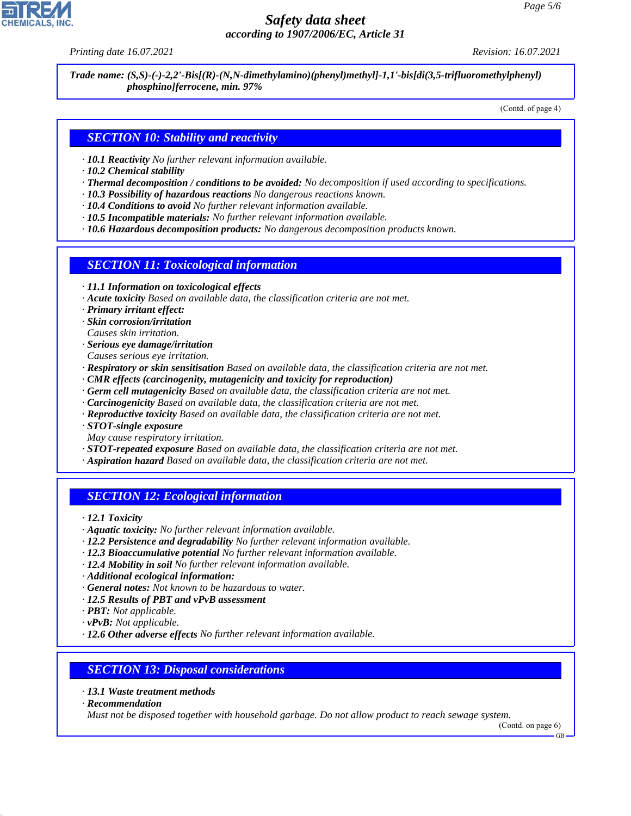*Printing date 16.07.2021 Revision: 16.07.2021*

*Trade name: (S,S)-(-)-2,2'-Bis[(R)-(N,N-dimethylamino)(phenyl)methyl]-1,1'-bis[di(3,5-trifluoromethylphenyl) phosphino]ferrocene, min. 97%*

(Contd. of page 4)

## *SECTION 10: Stability and reactivity*

- *· 10.1 Reactivity No further relevant information available.*
- *· 10.2 Chemical stability*
- *· Thermal decomposition / conditions to be avoided: No decomposition if used according to specifications.*
- *· 10.3 Possibility of hazardous reactions No dangerous reactions known.*
- *· 10.4 Conditions to avoid No further relevant information available.*
- *· 10.5 Incompatible materials: No further relevant information available.*
- *· 10.6 Hazardous decomposition products: No dangerous decomposition products known.*

## *SECTION 11: Toxicological information*

- *· 11.1 Information on toxicological effects*
- *· Acute toxicity Based on available data, the classification criteria are not met.*
- *· Primary irritant effect:*
- *· Skin corrosion/irritation*
- *Causes skin irritation.*
- *· Serious eye damage/irritation*
- *Causes serious eye irritation.*
- *· Respiratory or skin sensitisation Based on available data, the classification criteria are not met.*
- *· CMR effects (carcinogenity, mutagenicity and toxicity for reproduction)*
- *· Germ cell mutagenicity Based on available data, the classification criteria are not met.*
- *· Carcinogenicity Based on available data, the classification criteria are not met.*
- *· Reproductive toxicity Based on available data, the classification criteria are not met.*
- *· STOT-single exposure*
- *May cause respiratory irritation.*
- *· STOT-repeated exposure Based on available data, the classification criteria are not met.*
- *· Aspiration hazard Based on available data, the classification criteria are not met.*

## *SECTION 12: Ecological information*

*· 12.1 Toxicity*

- *· Aquatic toxicity: No further relevant information available.*
- *· 12.2 Persistence and degradability No further relevant information available.*
- *· 12.3 Bioaccumulative potential No further relevant information available.*
- *· 12.4 Mobility in soil No further relevant information available.*
- *· Additional ecological information:*
- *· General notes: Not known to be hazardous to water.*
- *· 12.5 Results of PBT and vPvB assessment*
- *· PBT: Not applicable.*
- *· vPvB: Not applicable.*
- *· 12.6 Other adverse effects No further relevant information available.*

## *SECTION 13: Disposal considerations*

- *· 13.1 Waste treatment methods*
- *· Recommendation*

44.1.1

*Must not be disposed together with household garbage. Do not allow product to reach sewage system.*

GB